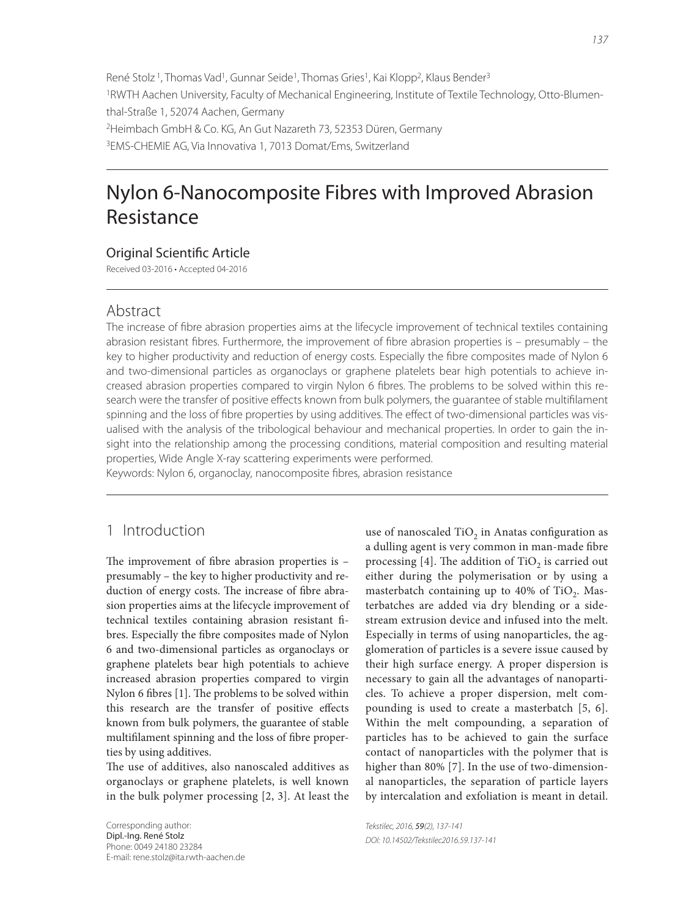René Stolz<sup>1</sup>, Thomas Vad<sup>1</sup>, Gunnar Seide<sup>1</sup>, Thomas Gries<sup>1</sup>, Kai Klopp<sup>2</sup>, Klaus Bender<sup>3</sup> 1RWTH Aachen University, Faculty of Mechanical Engineering, Institute of Textile Technology, Otto-Blumenthal-Straße 1, 52074 Aachen, Germany 2Heimbach GmbH & Co. KG, An Gut Nazareth 73, 52353 Düren, Germany 3EMS-CHEMIE AG, Via Innovativa 1, 7013 Domat/Ems, Switzerland

# Nylon 6-Nanocomposite Fibres with Improved Abrasion Resistance

#### **Original Scientific Article**

Received 03-2016 • Accepted 04-2016

#### Abstract

The increase of fibre abrasion properties aims at the lifecycle improvement of technical textiles containing abrasion resistant fibres. Furthermore, the improvement of fibre abrasion properties is  $-$  presumably  $-$  the key to higher productivity and reduction of energy costs. Especially the fibre composites made of Nylon 6 and two-dimensional particles as organoclays or graphene platelets bear high potentials to achieve increased abrasion properties compared to virgin Nylon 6 fibres. The problems to be solved within this research were the transfer of positive effects known from bulk polymers, the quarantee of stable multifilament spinning and the loss of fibre properties by using additives. The effect of two-dimensional particles was visualised with the analysis of the tribological behaviour and mechanical properties. In order to gain the insight into the relationship among the processing conditions, material composition and resulting material properties, Wide Angle X-ray scattering experiments were performed.

Keywords: Nylon 6, organoclay, nanocomposite fibres, abrasion resistance

## 1 Introduction

The improvement of fibre abrasion properties is  $$ presumably – the key to higher productivity and reduction of energy costs. The increase of fibre abrasion properties aims at the lifecycle improvement of technical textiles containing abrasion resistant fibres. Especially the fibre composites made of Nylon 6 and two-dimensional particles as organoclays or graphene platelets bear high potentials to achieve increased abrasion properties compared to virgin Nylon 6 fibres [1]. The problems to be solved within this research are the transfer of positive effects known from bulk polymers, the guarantee of stable multifilament spinning and the loss of fibre properties by using additives.

The use of additives, also nanoscaled additives as organoclays or graphene platelets, is well known in the bulk polymer processing [2, 3]. At least the

Corresponding author: Dipl.-Ing. René Stolz Phone: 0049 24180 23284 E-mail: rene.stolz@ita.rwth-aachen.de use of nanoscaled  $TiO<sub>2</sub>$  in Anatas configuration as a dulling agent is very common in man-made fibre processing  $[4]$ . The addition of TiO<sub>2</sub> is carried out either during the polymerisation or by using a masterbatch containing up to  $40\%$  of TiO<sub>2</sub>. Masterbatches are added via dry blending or a sidestream extrusion device and infused into the melt. Especially in terms of using nanoparticles, the agglomeration of particles is a severe issue caused by their high surface energy. A proper dispersion is necessary to gain all the advantages of nanoparticles. To achieve a proper dispersion, melt compounding is used to create a masterbatch [5, 6]. Within the melt compounding, a separation of particles has to be achieved to gain the surface contact of nanoparticles with the polymer that is higher than 80% [7]. In the use of two-dimensional nanoparticles, the separation of particle layers by intercalation and exfoliation is meant in detail.

Tekstilec, 2016, 59(2), 137-141 DOI: 10.14502/Tekstilec2016.59.137-141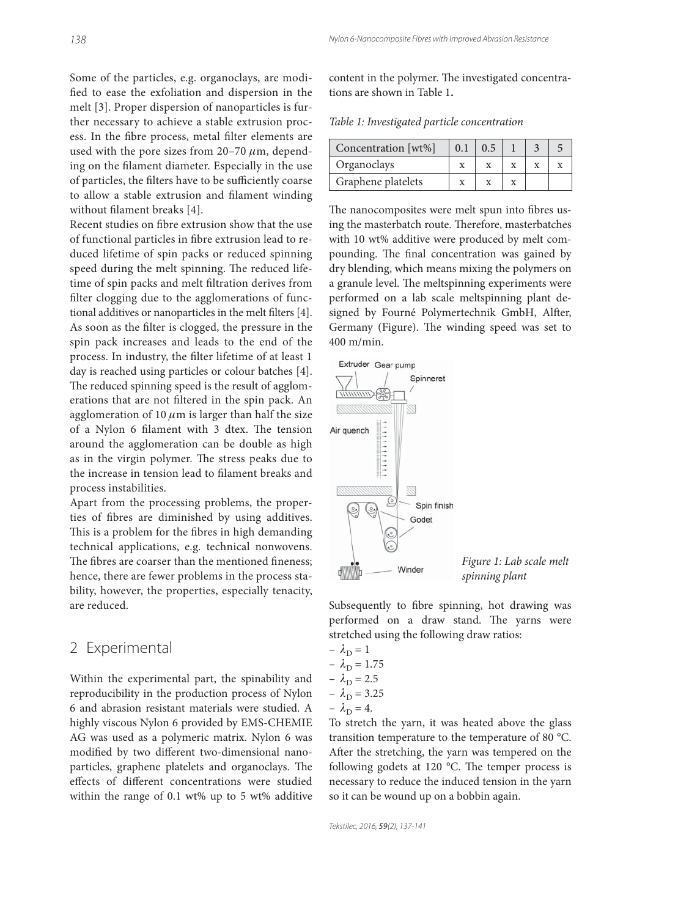Some of the particles, e.g. organoclays, are modified to ease the exfoliation and dispersion in the melt [3]. Proper dispersion of nanoparticles is further necessary to achieve a stable extrusion process. In the fibre process, metal filter elements are used with the pore sizes from  $20-70 \mu m$ , depending on the filament diameter. Especially in the use of particles, the filters have to be sufficiently coarse to allow a stable extrusion and filament winding without filament breaks [4].

Recent studies on fibre extrusion show that the use of functional particles in fibre extrusion lead to reduced lifetime of spin packs or reduced spinning speed during the melt spinning. The reduced lifetime of spin packs and melt filtration derives from filter clogging due to the agglomerations of functional additives or nanoparticles in the melt filters [4]. As soon as the filter is clogged, the pressure in the spin pack increases and leads to the end of the process. In industry, the filter lifetime of at least 1 day is reached using particles or colour batches [4]. The reduced spinning speed is the result of agglomerations that are not filtered in the spin pack. An agglomeration of 10  $\mu$ m is larger than half the size of a Nylon 6 filament with 3 dtex. The tension around the agglomeration can be double as high as in the virgin polymer. The stress peaks due to the increase in tension lead to filament breaks and process instabilities.

Apart from the processing problems, the properties of fibres are diminished by using additives. This is a problem for the fibres in high demanding technical applications, e.g. technical nonwovens. The fibres are coarser than the mentioned fineness; hence, there are fewer problems in the process stability, however, the properties, especially tenacity, are reduced.

#### 2 Experimental

Within the experimental part, the spinability and reproducibility in the production process of Nylon 6 and abrasion resistant materials were studied. A highly viscous Nylon 6 provided by EMS-CHEMIE AG was used as a polymeric matrix. Nylon 6 was modified by two different two-dimensional nanoparticles, graphene platelets and organoclays. The effects of different concentrations were studied within the range of 0.1 wt% up to 5 wt% additive

content in the polymer. The investigated concentrations are shown in Table 1**.**

Table 1: Investigated particle concentration

| Concentration [wt%] | 0.1 |  |  |
|---------------------|-----|--|--|
| Organoclays         |     |  |  |
| Graphene platelets  |     |  |  |

The nanocomposites were melt spun into fibres using the masterbatch route. Therefore, masterbatches with 10 wt% additive were produced by melt compounding. The final concentration was gained by dry blending, which means mixing the polymers on a granule level. The meltspinning experiments were performed on a lab scale meltspinning plant designed by Fourné Polymertechnik GmbH, Alfter, Germany (Figure). The winding speed was set to 400 m/min.



Figure 1: Lab scale melt spinning plant

Subsequently to fibre spinning, hot drawing was performed on a draw stand. The yarns were stretched using the following draw ratios:

$$
- \lambda_{\text{D}} = 1
$$
  
\n
$$
- \lambda_{\text{D}} = 1.75
$$
  
\n
$$
- \lambda_{\text{D}} = 2.5
$$
  
\n
$$
- \lambda_{\text{D}} = 3.25
$$
  
\n
$$
- \lambda_{\text{D}} = 4.
$$

To stretch the yarn, it was heated above the glass transition temperature to the temperature of 80 °C. After the stretching, the yarn was tempered on the following godets at 120  $^{\circ}$ C. The temper process is necessary to reduce the induced tension in the yarn so it can be wound up on a bobbin again.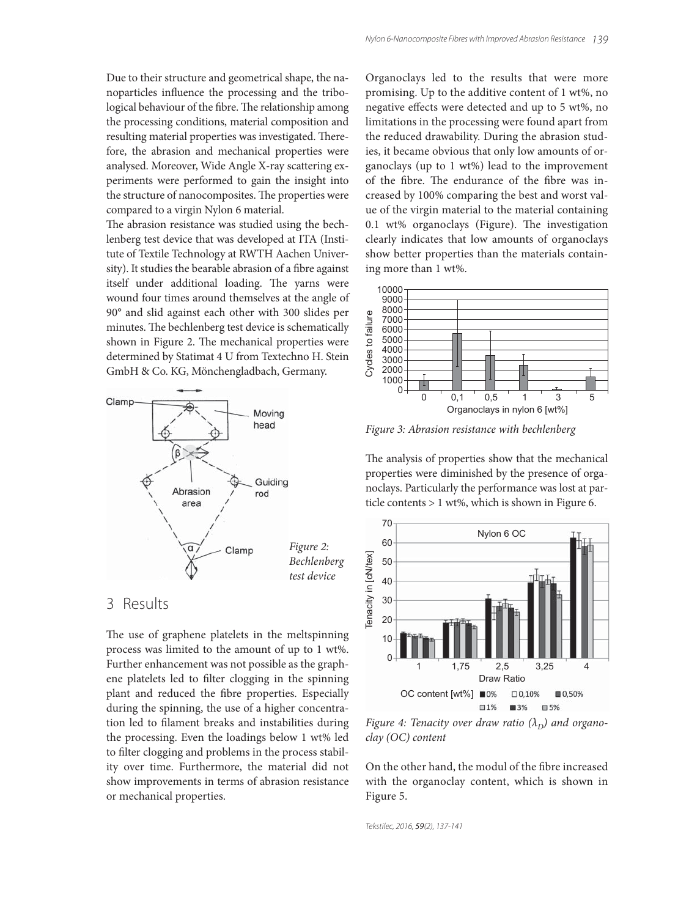Due to their structure and geometrical shape, the nanoparticles influence the processing and the tribological behaviour of the fibre. The relationship among the processing conditions, material composition and resulting material properties was investigated. Therefore, the abrasion and mechanical properties were analysed. Moreover, Wide Angle X-ray scattering experiments were performed to gain the insight into the structure of nanocomposites. The properties were compared to a virgin Nylon 6 material.

The abrasion resistance was studied using the bechlenberg test device that was developed at ITA (Institute of Textile Technology at RWTH Aachen University). It studies the bearable abrasion of a fibre against itself under additional loading. The yarns were wound four times around themselves at the angle of 90° and slid against each other with 300 slides per minutes. The bechlenberg test device is schematically shown in Figure 2. The mechanical properties were determined by Statimat 4 U from Textechno H. Stein GmbH & Co. KG, Mönchengladbach, Germany.



#### 3 Results

The use of graphene platelets in the meltspinning process was limited to the amount of up to 1 wt%. Further enhancement was not possible as the graphene platelets led to filter clogging in the spinning plant and reduced the fibre properties. Especially during the spinning, the use of a higher concentration led to filament breaks and instabilities during the processing. Even the loadings below 1 wt% led to filter clogging and problems in the process stability over time. Furthermore, the material did not show improvements in terms of abrasion resistance or mechanical properties.

Organoclays led to the results that were more promising. Up to the additive content of 1 wt%, no negative effects were detected and up to 5 wt%, no limitations in the processing were found apart from the reduced drawability. During the abrasion studies, it became obvious that only low amounts of organoclays (up to 1 wt%) lead to the improvement of the fibre. The endurance of the fibre was increased by 100% comparing the best and worst value of the virgin material to the material containing  $0.1$  wt% organoclays (Figure). The investigation clearly indicates that low amounts of organoclays show better properties than the materials containing more than 1 wt%.



Figure 3: Abrasion resistance with bechlenberg

The analysis of properties show that the mechanical properties were diminished by the presence of organoclays. Particularly the performance was lost at particle contents > 1 wt%, which is shown in Figure 6.



Figure 4: Tenacity over draw ratio  $(\lambda_D)$  and organoclay (OC) content

On the other hand, the modul of the fibre increased with the organoclay content, which is shown in Figure 5.

Tekstilec, 2016, 59(2), 137-141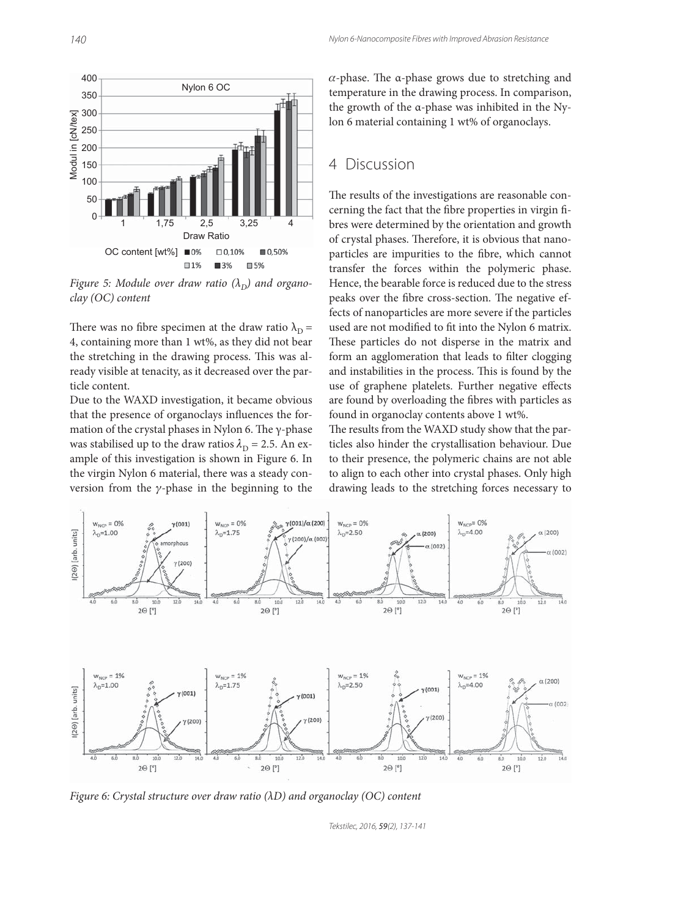

Figure 5: Module over draw ratio  $(\lambda_D)$  and organoclay (OC) content

There was no fibre specimen at the draw ratio  $\lambda_D =$ 4, containing more than 1 wt%, as they did not bear the stretching in the drawing process. This was already visible at tenacity, as it decreased over the particle content.

Due to the WAXD investigation, it became obvious that the presence of organoclays influences the formation of the crystal phases in Nylon 6. The  $\gamma$ -phase was stabilised up to the draw ratios  $\lambda_D = 2.5$ . An example of this investigation is shown in Figure 6. In the virgin Nylon 6 material, there was a steady conversion from the  $\gamma$ -phase in the beginning to the

 $\alpha$ -phase. The  $\alpha$ -phase grows due to stretching and temperature in the drawing process. In comparison, the growth of the α-phase was inhibited in the Nylon 6 material containing 1 wt% of organoclays.

### 4 Discussion

The results of the investigations are reasonable concerning the fact that the fibre properties in virgin fibres were determined by the orientation and growth of crystal phases. Therefore, it is obvious that nanoparticles are impurities to the fibre, which cannot transfer the forces within the polymeric phase. Hence, the bearable force is reduced due to the stress peaks over the fibre cross-section. The negative effects of nanoparticles are more severe if the particles used are not modified to fit into the Nylon 6 matrix. These particles do not disperse in the matrix and form an agglomeration that leads to filter clogging and instabilities in the process. This is found by the use of graphene platelets. Further negative effects are found by overloading the fibres with particles as found in organoclay contents above 1 wt%.

The results from the WAXD study show that the particles also hinder the crystallisation behaviour. Due to their presence, the polymeric chains are not able to align to each other into crystal phases. Only high drawing leads to the stretching forces necessary to



Figure 6: Crystal structure over draw ratio  $(AD)$  and organoclay  $(OC)$  content

Tekstilec, 2016, 59(2), 137-141